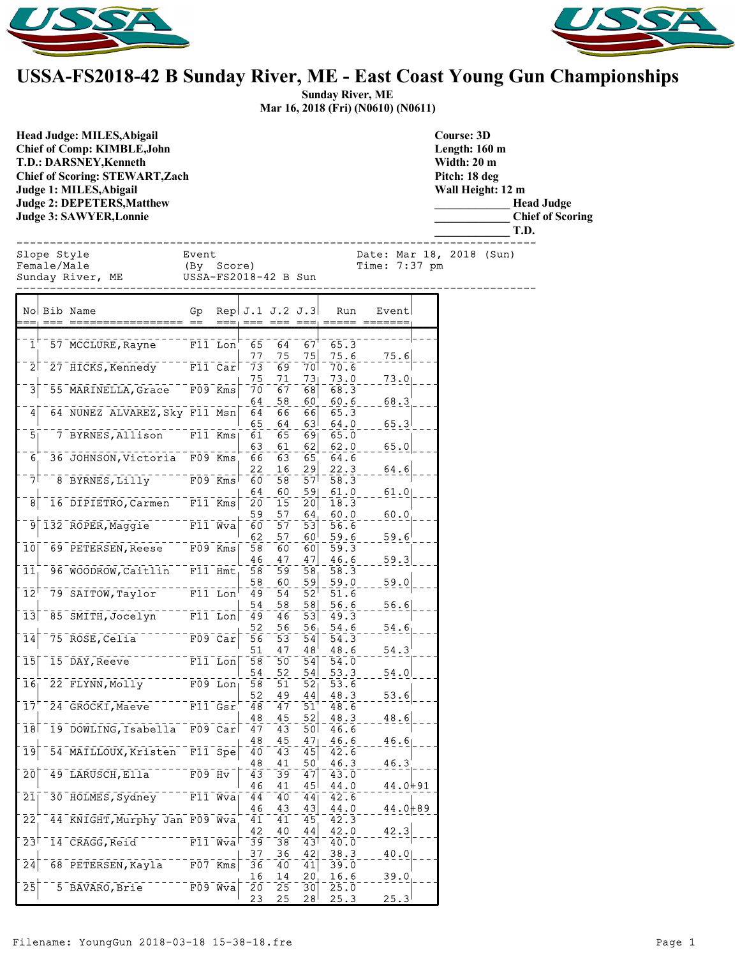



## **USSA-FS2018-42 B Sunday River, ME - East Coast Young Gun Championships**

**Sunday River, ME Mar 16, 2018 (Fri) (N0610) (N0611)**

**Head Judge: MILES,Abigail Chief of Comp: KIMBLE,John T.D.: DARSNEY,Kenneth Chief of Scoring: STEWART,Zach Judge 1: MILES,Abigail Judge 2: DEPETERS,Matthew Judge 3: SAWYER,Lonnie** 

**Course: 3D Length: 160 m Width: 20 m Pitch: 18 deg Wall Height: 12 m \_\_\_\_\_\_\_\_\_\_\_\_\_ Head Judge \_\_\_\_\_\_\_\_\_\_\_\_\_ Chief of Scoring \_\_\_\_\_\_\_\_\_\_\_\_\_ T.D.** Event Date: Mar 18, 2018 (Sun)<br>(By Score) Time: 7:37 pm E (By Score) Time: 7:37 pm<br>Male (Male USSA-FS2018-42 B Sun ------------------------------------------------------------------------------

| Glope Style      | Event          |
|------------------|----------------|
| emale/Male:      | (By Score)     |
| Sunday River, ME | $USSA-FS2018-$ |

USSA-FS2018-42 B Sun

|                            | No Bib Name                   | Gp                   |                                            | Rep. $J.1$ $J.2$ $J.3$ |          |           | Run          | Event       |  |
|----------------------------|-------------------------------|----------------------|--------------------------------------------|------------------------|----------|-----------|--------------|-------------|--|
|                            |                               |                      |                                            |                        |          |           |              |             |  |
| $\mathbf{1}$               | 57 MCCLURE, Rayne             | F11 Lon              |                                            | 65<br>77               | 64<br>75 | 67<br>75  | 65.3<br>75.6 |             |  |
| 21                         | 27 HICKS, Kennedy             |                      | F11 Car                                    | 73                     | 69       | 701       | 70.6         | 75.6        |  |
|                            |                               |                      |                                            | 75                     | 71       | 73        | 73.0         | 73.0        |  |
| $\bar{3}$                  | 55 MARINELLA, Grace           |                      | $F09$ <sup>-<math>\bar{K}mS</math></sup>   | 70                     | 67       | 68        | 68.3         |             |  |
|                            |                               |                      |                                            | 64                     | 58       | 60        | 60.6         | 68.3        |  |
| 4                          | 64 NUNEZ ALVAREZ, Sky F11 Msn |                      |                                            | 64                     | 66       | 66        | 65.3         |             |  |
|                            |                               |                      |                                            | 65                     | 64       | 63        | 64.0         | 65.3        |  |
| 5                          | 7 BYRNES, Allison             |                      | $F11$ Kms                                  | 61<br>63               | 65<br>61 | 691<br>62 | 65.0<br>62.0 |             |  |
| $\overline{6}$             | 36 JOHNSON, Victoria          | F09 Kms              |                                            | 66                     | 63       | 65        | 64.6         | 65.0        |  |
|                            |                               |                      |                                            | 22                     | 16       | 29        | 22.3         | 64.6        |  |
| 71                         | 8 BYRNES, Lilly               |                      | F09 Kms                                    | 60                     | 58       | 57        | 58.3         |             |  |
|                            |                               |                      |                                            | 64                     | 60       | 591       | 61.0         | 61.0        |  |
| 8                          | 16 DIPIETRO, Carmen           |                      | $F11$ Kms                                  | 20                     | 15       | 20        | 18.3         |             |  |
|                            |                               |                      |                                            | 59                     | 57       | 64        | 60.0         | 60.0        |  |
|                            | 132 ROPER, Maggie             | $\overline{F11}$ Wva |                                            | 60                     | 57<br>57 | 53        | 56.6         |             |  |
| īō                         | 69 PETERSEN, Reese            |                      | F09 Kms                                    | 62<br>58               | 60       | 60<br>60  | 59.6<br>59.3 | 59.6        |  |
|                            |                               |                      |                                            | 46                     | 47       | 47        | 46.6         | 59.3        |  |
| $\bar{1}1$                 | 96 WOODROW, Caitlin           | $F11$ Hmt            |                                            | 58                     | 59       | 58        | 58.3         |             |  |
|                            |                               |                      |                                            | 58                     | 60       | 59        | 59.0         | 59.0        |  |
| $\bar{1}\bar{2}^{\bar{1}}$ | 79 SAITOW, Taylor             |                      | $F1\overline{1}$ Lon                       | 49                     | 54       | 52        | 51.6         |             |  |
|                            |                               |                      |                                            | 54                     | 58       | 58        | 56.6         | 56.6        |  |
| 131                        | 85 SMITH, Jocelyn             |                      | $F11$ Lon                                  | 49                     | 46       | 53        | 49.3         |             |  |
| 14                         | 75 ROSE, Celia                |                      | $F09$ $Car$                                | 52<br>56               | 56<br>53 | 56<br>54  | 54.6<br>54.3 | 54.6        |  |
|                            |                               |                      |                                            | 51                     | 47       | 48        | 48.6         | 54.3        |  |
| ī5                         | 15 DAY, Reeve                 |                      | $F11$ Lon                                  | 58                     | 50       | 54        | 54.0         |             |  |
|                            |                               |                      |                                            | 54                     | 52       | 54        | 53.3         | 54.0        |  |
| 16                         | 22 FLYNN, Molly               |                      | $F09$ Lon                                  | 58                     | 51       | 52        | 53.6         |             |  |
|                            |                               |                      |                                            | 52                     | 49       | 44        | 48.3         | 53.6        |  |
| 17'                        | 24 GROCKI, Maeve              |                      | $F11$ $Gsr$                                | 48<br>48               | 47<br>45 | 51<br>52  | 48.6         |             |  |
| 18                         | 19 DOWLING, Isabella          |                      | $F09$ $Car$                                | 47                     | 43       | 50        | 48.3<br>46.6 | 48.6        |  |
|                            |                               |                      |                                            | 48                     | 45       | 47        | 46.6         | 46.6        |  |
| 19                         | 54 MAILLOUX, Kristen          |                      | $F11$ Spe                                  | 40                     | 43       | 45        | 42.6         |             |  |
|                            |                               |                      |                                            | 48                     | 41       | 50        | 46.3         | 46.3        |  |
| 2ō                         | 49 LARUSCH, Ella              | $F09$ Hv             |                                            | 43                     | 39       | 47        | 43.0         |             |  |
|                            |                               |                      |                                            | 46                     | 41       | 45        | 44.0         | 44.0+91     |  |
| 21                         | 30 HOLMES, Sydney             |                      | F11 Wva                                    | 44<br>46               | 40<br>43 | 44<br>43  | 42.6<br>44.0 |             |  |
| 22                         | 44 KNIGHT, Murphy Jan F09 Wva |                      |                                            | 41                     | 41       | 45        | 42.3         | $44.0 + 89$ |  |
|                            |                               |                      |                                            | 42                     | 40       | 44        | 42.0         | 42.3        |  |
| 23                         | 14 CRAGG, Reid                |                      | $\bar{r}1\bar{1}^{-}\bar{w}\bar{v}\bar{a}$ | 39                     | 38       | 43        | 40.0         |             |  |
|                            |                               |                      |                                            | 37                     | 36       | 42        | 38.3         | 40.0        |  |
| 24                         | 68 PETERSEN, Kayla            | $F07$ Kms            |                                            | 36                     | 40       | 41        | 39.0         |             |  |
| $\bar{2}\bar{5}$           | 5 BAVARO, Brie                |                      | $F09$ Wva                                  | 16<br>20               | 14<br>25 | 20<br>30  | 16.6<br>25.0 | 39.0        |  |
|                            |                               |                      |                                            | 23                     | 25       | ا 28      | 25.3         | 25.3        |  |